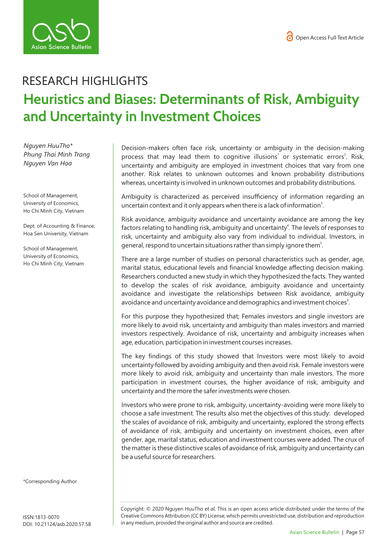

## RESEARCH HIGHLIGHTS **Heuristics and Biases: Determinants of Risk, Ambiguity and Uncertainty in Investment Choices**

*Nguyen HuuTho\* Phung Thai Minh Trang Nguyen Van Hoa* 

School of Management, University of Economics, Ho Chi Minh City, Vietnam

Dept. of Accounting & Finance, Hoa Sen University, Vietnam

School of Management, University of Economics, Ho Chi Minh City, Vietnam Decision-makers often face risk, uncertainty or ambiguity in the decision-making process that may lead them to cognitive illusions<sup>1</sup> or systematic errors<sup>2</sup>. Risk, uncertainty and ambiguity are employed in investment choices that vary from one another. Risk relates to unknown outcomes and known probability distributions whereas, uncertainty is involved in unknown outcomes and probability distributions.

Ambiguity is characterized as perceived insufficiency of information regarding an uncertain context and it only appears when there is a lack of information<sup>3</sup>.

Risk avoidance, ambiguity avoidance and uncertainty avoidance are among the key factors relating to handling risk, ambiguity and uncertainty<sup>4</sup>. The levels of responses to risk, uncertainty and ambiguity also vary from individual to individual. Investors, in general, respond to uncertain situations rather than simply ignore them<sup>5</sup>.

There are a large number of studies on personal characteristics such as gender, age, marital status, educational levels and financial knowledge affecting decision making. Researchers conducted a new study in which they hypothesized the facts. They wanted to develop the scales of risk avoidance, ambiguity avoidance and uncertainty avoidance and investigate the relationships between Risk avoidance, ambiguity avoidance and uncertainty avoidance and demographics and investment choices<sup>6</sup>.

For this purpose they hypothesized that; Females investors and single investors are more likely to avoid risk, uncertainty and ambiguity than males investors and married investors respectively. Avoidance of risk, uncertainty and ambiguity increases when age, education, participation in investment courses increases.

The key findings of this study showed that Investors were most likely to avoid uncertainty followed by avoiding ambiguity and then avoid risk. Female investors were more likely to avoid risk, ambiguity and uncertainty than male investors. The more participation in investment courses, the higher avoidance of risk, ambiguity and uncertainty and the more the safer investments were chosen.

Investors who were prone to risk, ambiguity, uncertainty-avoiding were more likely to choose a safe investment. The results also met the objectives of this study: developed the scales of avoidance of risk, ambiguity and uncertainty, explored the strong effects of avoidance of risk, ambiguity and uncertainty on investment choices, even after gender, age, marital status, education and investment courses were added. The crux of the matter is these distinctive scales of avoidance of risk, ambiguity and uncertainty can be a useful source for researchers.

\*Corresponding Author

Copyright: © 2020 Nguyen HuuTho *et al.* This is an open access article distributed under the terms of the Creative Commons Attribution (CC BY) License, which permits unrestricted use, distribution and reproduction in any medium, provided the original author and source are credited.